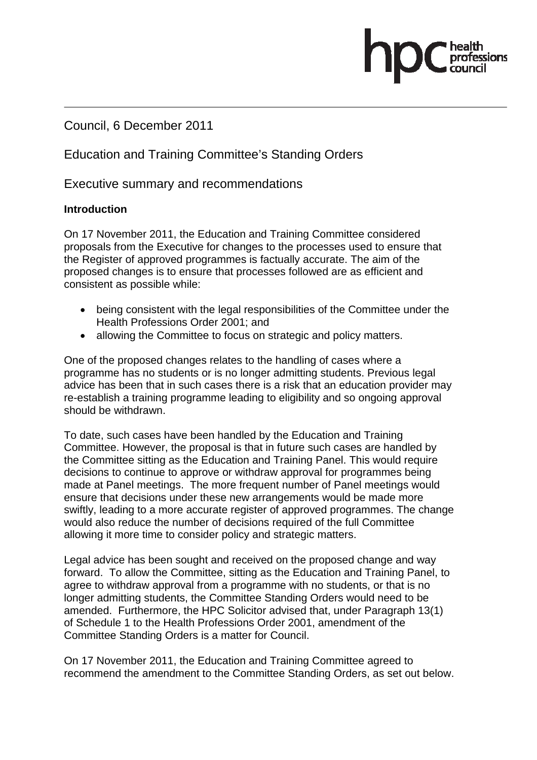### Council, 6 December 2011

## Education and Training Committee's Standing Orders

Executive summary and recommendations

#### **Introduction**

On 17 November 2011, the Education and Training Committee considered proposals from the Executive for changes to the processes used to ensure that the Register of approved programmes is factually accurate. The aim of the proposed changes is to ensure that processes followed are as efficient and consistent as possible while:

- being consistent with the legal responsibilities of the Committee under the Health Professions Order 2001; and
- allowing the Committee to focus on strategic and policy matters.

One of the proposed changes relates to the handling of cases where a programme has no students or is no longer admitting students. Previous legal advice has been that in such cases there is a risk that an education provider may re-establish a training programme leading to eligibility and so ongoing approval should be withdrawn.

To date, such cases have been handled by the Education and Training Committee. However, the proposal is that in future such cases are handled by the Committee sitting as the Education and Training Panel. This would require decisions to continue to approve or withdraw approval for programmes being made at Panel meetings. The more frequent number of Panel meetings would ensure that decisions under these new arrangements would be made more swiftly, leading to a more accurate register of approved programmes. The change would also reduce the number of decisions required of the full Committee allowing it more time to consider policy and strategic matters.

Legal advice has been sought and received on the proposed change and way forward. To allow the Committee, sitting as the Education and Training Panel, to agree to withdraw approval from a programme with no students, or that is no longer admitting students, the Committee Standing Orders would need to be amended. Furthermore, the HPC Solicitor advised that, under Paragraph 13(1) of Schedule 1 to the Health Professions Order 2001, amendment of the Committee Standing Orders is a matter for Council.

On 17 November 2011, the Education and Training Committee agreed to recommend the amendment to the Committee Standing Orders, as set out below.